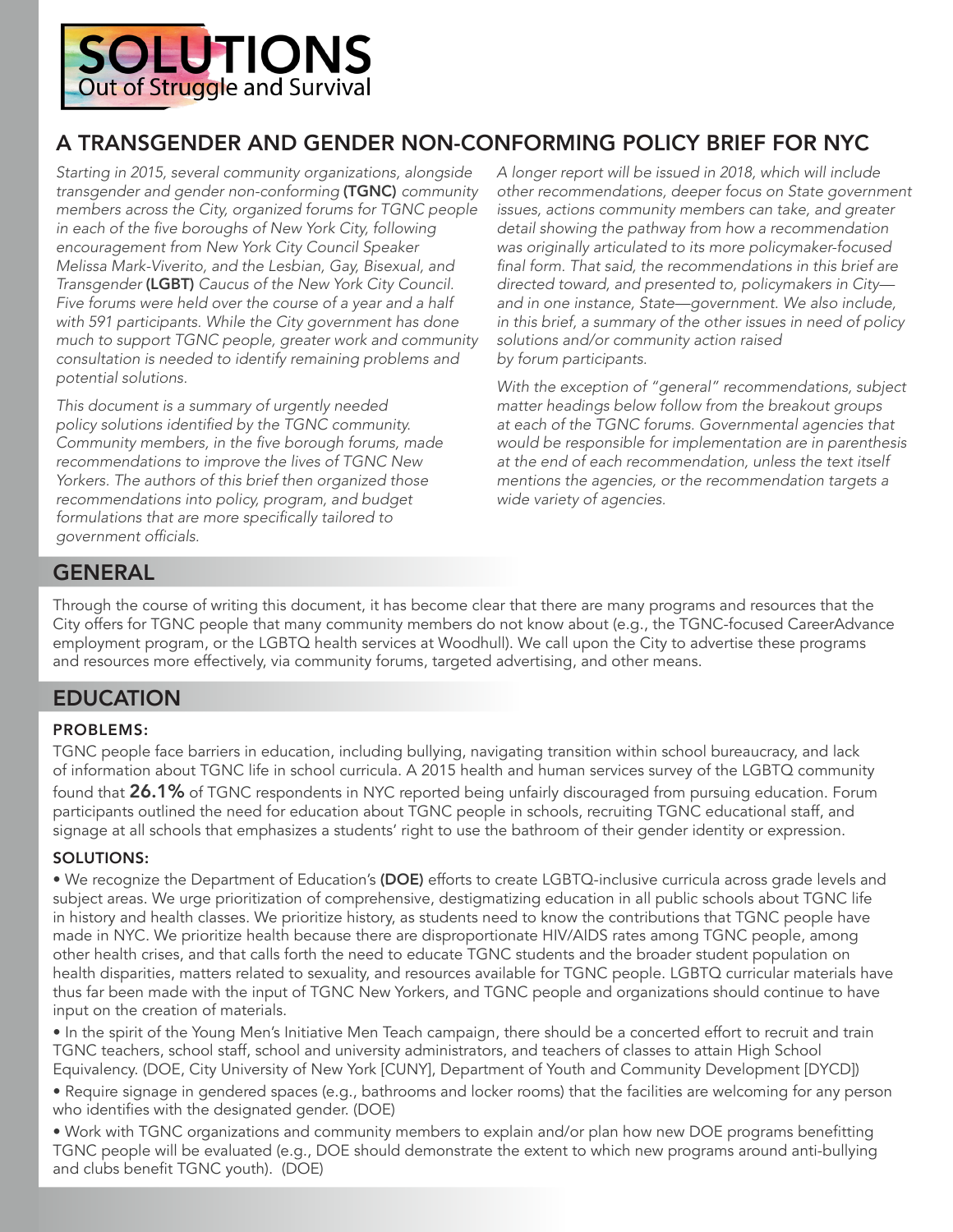

# A TRANSGENDER AND GENDER NON-CONFORMING POLICY BRIEF FOR NYC

*Starting in 2015, several community organizations, alongside transgender and gender non-conforming* (TGNC) *community members across the City, organized forums for TGNC people*  in each of the five boroughs of New York City, following encouragement from New York City Council Speaker Melissa Mark-Viverito, and the Lesbian, Gay, Bisexual, and *Transgender* (LGBT) Caucus of the New York City Council. Five forums were held over the course of a year and a half with 591 participants. While the City government has done much to support TGNC people, greater work and community *consultation is needed to identify remaining problems and*  potential solutions.

*This document is a summary of urgently needed policy* solutions identified by the TGNC community. *Community* members, in the five borough forums, made recommendations to improve the lives of TGNC New Yorkers. The authors of this brief then organized those *recommendations into policy, program, and budget*  formulations that are more specifically tailored to government officials.

A longer report will be issued in 2018, which will include *other recommendations, deeper focus on State government*  issues, actions community members can take, and greater detail showing the pathway from how a recommendation was originally articulated to its more policymaker-focused final form. That said, the recommendations in this brief are directed toward, and presented to, policymakers in City and in one instance, State—government. We also include, *in this brief, a summary of the other issues in need of policy solutions and/or community action raised* by forum participants.

With the exception of "general" recommendations, subject matter headings below follow from the breakout groups *at* each of the TGNC forums. Governmental agencies that would be responsible for implementation are in parenthesis at the end of each recommendation, unless the text itself *mentions the agencies, or the recommendation targets a*  wide variety of agencies.

# GENERAL

Through the course of writing this document, it has become clear that there are many programs and resources that the City offers for TGNC people that many community members do not know about (e.g., the TGNC-focused CareerAdvance employment program, or the LGBTQ health services at Woodhull). We call upon the City to advertise these programs and resources more effectively, via community forums, targeted advertising, and other means.

# EDUCATION

#### PROBLEMS:

TGNC people face barriers in education, including bullying, navigating transition within school bureaucracy, and lack of information about TGNC life in school curricula. A 2015 health and human services survey of the LGBTQ community found that 26.1% of TGNC respondents in NYC reported being unfairly discouraged from pursuing education. Forum participants outlined the need for education about TGNC people in schools, recruiting TGNC educational staff, and signage at all schools that emphasizes a students' right to use the bathroom of their gender identity or expression.

#### SOLUTIONS:

• We recognize the Department of Education's (DOE) efforts to create LGBTQ-inclusive curricula across grade levels and subject areas. We urge prioritization of comprehensive, destigmatizing education in all public schools about TGNC life in history and health classes. We prioritize history, as students need to know the contributions that TGNC people have made in NYC. We prioritize health because there are disproportionate HIV/AIDS rates among TGNC people, among other health crises, and that calls forth the need to educate TGNC students and the broader student population on health disparities, matters related to sexuality, and resources available for TGNC people. LGBTQ curricular materials have thus far been made with the input of TGNC New Yorkers, and TGNC people and organizations should continue to have input on the creation of materials.

• In the spirit of the Young Men's Initiative Men Teach campaign, there should be a concerted effort to recruit and train TGNC teachers, school staff, school and university administrators, and teachers of classes to attain High School Equivalency. (DOE, City University of New York [CUNY], Department of Youth and Community Development [DYCD])

• Require signage in gendered spaces (e.g., bathrooms and locker rooms) that the facilities are welcoming for any person who identifies with the designated gender. (DOE)

• Work with TGNC organizations and community members to explain and/or plan how new DOE programs benefitting TGNC people will be evaluated (e.g., DOE should demonstrate the extent to which new programs around anti-bullying and clubs benefit TGNC youth). (DOE)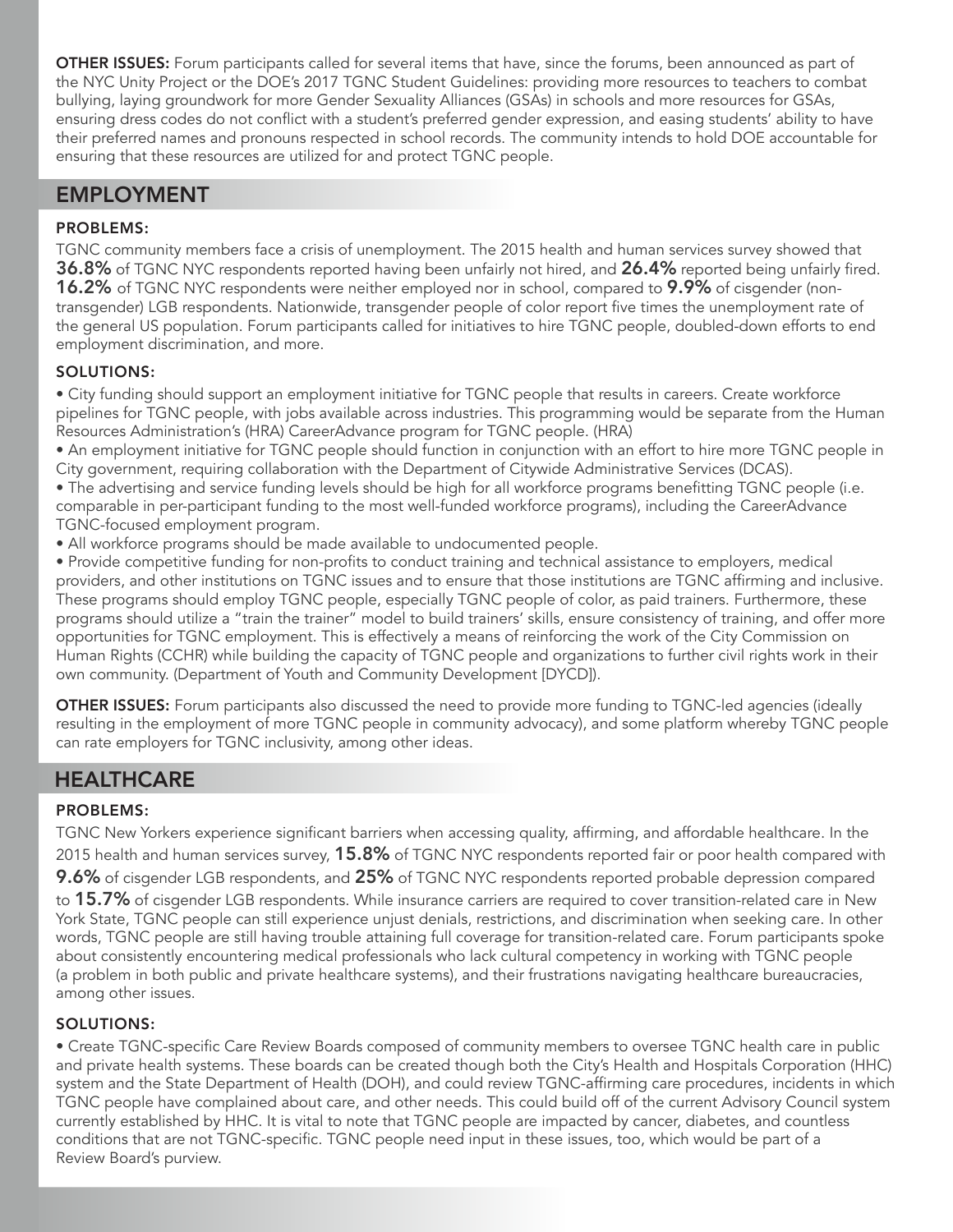OTHER ISSUES: Forum participants called for several items that have, since the forums, been announced as part of the NYC Unity Project or the DOE's 2017 TGNC Student Guidelines: providing more resources to teachers to combat bullying, laying groundwork for more Gender Sexuality Alliances (GSAs) in schools and more resources for GSAs, ensuring dress codes do not conflict with a student's preferred gender expression, and easing students' ability to have their preferred names and pronouns respected in school records. The community intends to hold DOE accountable for ensuring that these resources are utilized for and protect TGNC people.

# EMPLOYMENT

## PROBLEMS:

TGNC community members face a crisis of unemployment. The 2015 health and human services survey showed that 36.8% of TGNC NYC respondents reported having been unfairly not hired, and 26.4% reported being unfairly fired. **16.2%** of TGNC NYC respondents were neither employed nor in school, compared to  $9.9\%$  of cisgender (nontransgender) LGB respondents. Nationwide, transgender people of color report five times the unemployment rate of the general US population. Forum participants called for initiatives to hire TGNC people, doubled-down efforts to end employment discrimination, and more.

### SOLUTIONS:

• City funding should support an employment initiative for TGNC people that results in careers. Create workforce pipelines for TGNC people, with jobs available across industries. This programming would be separate from the Human Resources Administration's (HRA) CareerAdvance program for TGNC people. (HRA)

• An employment initiative for TGNC people should function in conjunction with an effort to hire more TGNC people in City government, requiring collaboration with the Department of Citywide Administrative Services (DCAS).

• The advertising and service funding levels should be high for all workforce programs benefitting TGNC people (i.e. comparable in per-participant funding to the most well-funded workforce programs), including the CareerAdvance TGNC-focused employment program.

• All workforce programs should be made available to undocumented people.

• Provide competitive funding for non-profits to conduct training and technical assistance to employers, medical providers, and other institutions on TGNC issues and to ensure that those institutions are TGNC affirming and inclusive. These programs should employ TGNC people, especially TGNC people of color, as paid trainers. Furthermore, these programs should utilize a "train the trainer" model to build trainers' skills, ensure consistency of training, and offer more opportunities for TGNC employment. This is effectively a means of reinforcing the work of the City Commission on Human Rights (CCHR) while building the capacity of TGNC people and organizations to further civil rights work in their own community. (Department of Youth and Community Development [DYCD]).

OTHER ISSUES: Forum participants also discussed the need to provide more funding to TGNC-led agencies (ideally resulting in the employment of more TGNC people in community advocacy), and some platform whereby TGNC people can rate employers for TGNC inclusivity, among other ideas.

# **HEALTHCARE**

### PROBLEMS:

TGNC New Yorkers experience significant barriers when accessing quality, affirming, and affordable healthcare. In the 2015 health and human services survey, 15.8% of TGNC NYC respondents reported fair or poor health compared with 9.6% of cisgender LGB respondents, and 25% of TGNC NYC respondents reported probable depression compared to 15.7% of cisgender LGB respondents. While insurance carriers are required to cover transition-related care in New York State, TGNC people can still experience unjust denials, restrictions, and discrimination when seeking care. In other words, TGNC people are still having trouble attaining full coverage for transition-related care. Forum participants spoke about consistently encountering medical professionals who lack cultural competency in working with TGNC people (a problem in both public and private healthcare systems), and their frustrations navigating healthcare bureaucracies, among other issues.

### SOLUTIONS:

• Create TGNC-specific Care Review Boards composed of community members to oversee TGNC health care in public and private health systems. These boards can be created though both the City's Health and Hospitals Corporation (HHC) system and the State Department of Health (DOH), and could review TGNC-affirming care procedures, incidents in which TGNC people have complained about care, and other needs. This could build off of the current Advisory Council system currently established by HHC. It is vital to note that TGNC people are impacted by cancer, diabetes, and countless conditions that are not TGNC-specific. TGNC people need input in these issues, too, which would be part of a Review Board's purview.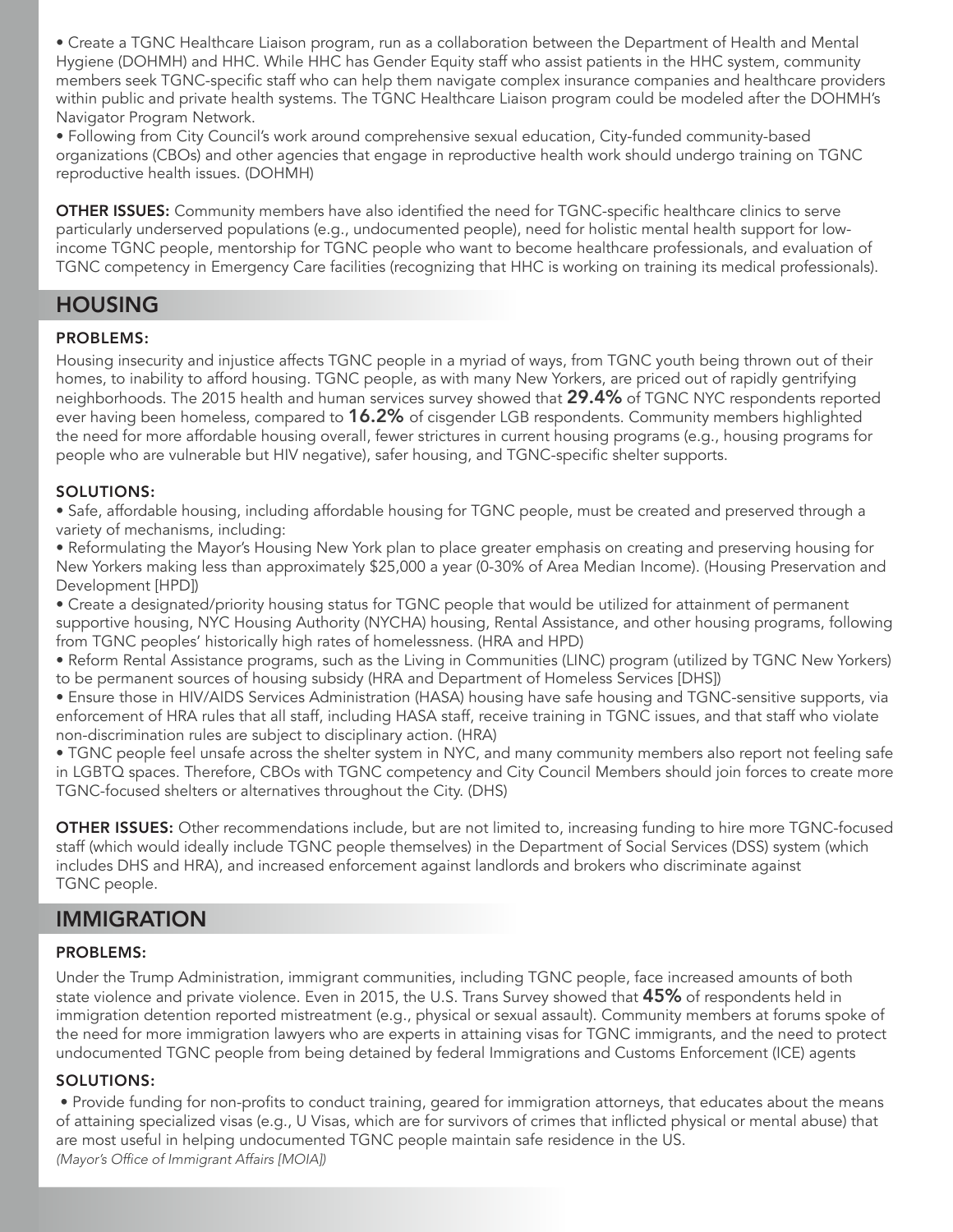• Create a TGNC Healthcare Liaison program, run as a collaboration between the Department of Health and Mental Hygiene (DOHMH) and HHC. While HHC has Gender Equity staff who assist patients in the HHC system, community members seek TGNC-specific staff who can help them navigate complex insurance companies and healthcare providers within public and private health systems. The TGNC Healthcare Liaison program could be modeled after the DOHMH's Navigator Program Network.

• Following from City Council's work around comprehensive sexual education, City-funded community-based organizations (CBOs) and other agencies that engage in reproductive health work should undergo training on TGNC reproductive health issues. (DOHMH)

OTHER ISSUES: Community members have also identified the need for TGNC-specific healthcare clinics to serve particularly underserved populations (e.g., undocumented people), need for holistic mental health support for lowincome TGNC people, mentorship for TGNC people who want to become healthcare professionals, and evaluation of TGNC competency in Emergency Care facilities (recognizing that HHC is working on training its medical professionals).

# HOUSING

#### PROBLEMS:

Housing insecurity and injustice affects TGNC people in a myriad of ways, from TGNC youth being thrown out of their homes, to inability to afford housing. TGNC people, as with many New Yorkers, are priced out of rapidly gentrifying neighborhoods. The 2015 health and human services survey showed that 29.4% of TGNC NYC respondents reported ever having been homeless, compared to 16.2% of cisgender LGB respondents. Community members highlighted the need for more affordable housing overall, fewer strictures in current housing programs (e.g., housing programs for people who are vulnerable but HIV negative), safer housing, and TGNC-specific shelter supports.

#### SOLUTIONS:

• Safe, affordable housing, including affordable housing for TGNC people, must be created and preserved through a variety of mechanisms, including:

• Reformulating the Mayor's Housing New York plan to place greater emphasis on creating and preserving housing for New Yorkers making less than approximately \$25,000 a year (0-30% of Area Median Income). (Housing Preservation and Development [HPD])

• Create a designated/priority housing status for TGNC people that would be utilized for attainment of permanent supportive housing, NYC Housing Authority (NYCHA) housing, Rental Assistance, and other housing programs, following from TGNC peoples' historically high rates of homelessness. (HRA and HPD)

• Reform Rental Assistance programs, such as the Living in Communities (LINC) program (utilized by TGNC New Yorkers) to be permanent sources of housing subsidy (HRA and Department of Homeless Services [DHS])

• Ensure those in HIV/AIDS Services Administration (HASA) housing have safe housing and TGNC-sensitive supports, via enforcement of HRA rules that all staff, including HASA staff, receive training in TGNC issues, and that staff who violate non-discrimination rules are subject to disciplinary action. (HRA)

• TGNC people feel unsafe across the shelter system in NYC, and many community members also report not feeling safe in LGBTQ spaces. Therefore, CBOs with TGNC competency and City Council Members should join forces to create more TGNC-focused shelters or alternatives throughout the City. (DHS)

OTHER ISSUES: Other recommendations include, but are not limited to, increasing funding to hire more TGNC-focused staff (which would ideally include TGNC people themselves) in the Department of Social Services (DSS) system (which includes DHS and HRA), and increased enforcement against landlords and brokers who discriminate against TGNC people.

# IMMIGRATION

#### PROBLEMS:

Under the Trump Administration, immigrant communities, including TGNC people, face increased amounts of both state violence and private violence. Even in 2015, the U.S. Trans Survey showed that 45% of respondents held in immigration detention reported mistreatment (e.g., physical or sexual assault). Community members at forums spoke of the need for more immigration lawyers who are experts in attaining visas for TGNC immigrants, and the need to protect undocumented TGNC people from being detained by federal Immigrations and Customs Enforcement (ICE) agents

#### SOLUTIONS:

• Provide funding for non-profits to conduct training, geared for immigration attorneys, that educates about the means of attaining specialized visas (e.g., U Visas, which are for survivors of crimes that inflicted physical or mental abuse) that are most useful in helping undocumented TGNC people maintain safe residence in the US. (Mayor's Office of Immigrant Affairs [MOIA])